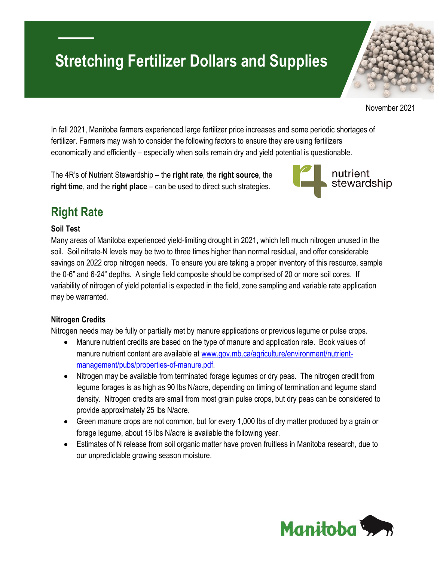# **Stretching Fertilizer Dollars and Supplies**



November 2021

In fall 2021, Manitoba farmers experienced large fertilizer price increases and some periodic shortages of fertilizer. Farmers may wish to consider the following factors to ensure they are using fertilizers economically and efficiently – especially when soils remain dry and yield potential is questionable.

The 4R's of Nutrient Stewardship – the **right rate**, the **right source**, the **right time**, and the **right place** – can be used to direct such strategies.



# **Right Rate**

#### **Soil Test**

Many areas of Manitoba experienced yield-limiting drought in 2021, which left much nitrogen unused in the soil. Soil nitrate-N levels may be two to three times higher than normal residual, and offer considerable savings on 2022 crop nitrogen needs. To ensure you are taking a proper inventory of this resource, sample the 0-6" and 6-24" depths. A single field composite should be comprised of 20 or more soil cores. If variability of nitrogen of yield potential is expected in the field, zone sampling and variable rate application may be warranted.

#### **Nitrogen Credits**

Nitrogen needs may be fully or partially met by manure applications or previous legume or pulse crops.

- Manure nutrient credits are based on the type of manure and application rate. Book values of manure nutrient content are available at [www.gov.mb.ca/agriculture/environment/nutrient](https://www.gov.mb.ca/agriculture/environment/nutrient-management/pubs/properties-of-manure.pdf)[management/pubs/properties-of-manure.pdf.](https://www.gov.mb.ca/agriculture/environment/nutrient-management/pubs/properties-of-manure.pdf)
- Nitrogen may be available from terminated forage legumes or dry peas. The nitrogen credit from legume forages is as high as 90 lbs N/acre, depending on timing of termination and legume stand density. Nitrogen credits are small from most grain pulse crops, but dry peas can be considered to provide approximately 25 lbs N/acre.
- Green manure crops are not common, but for every 1,000 lbs of dry matter produced by a grain or forage legume, about 15 lbs N/acre is available the following year.
- Estimates of N release from soil organic matter have proven fruitless in Manitoba research, due to our unpredictable growing season moisture.

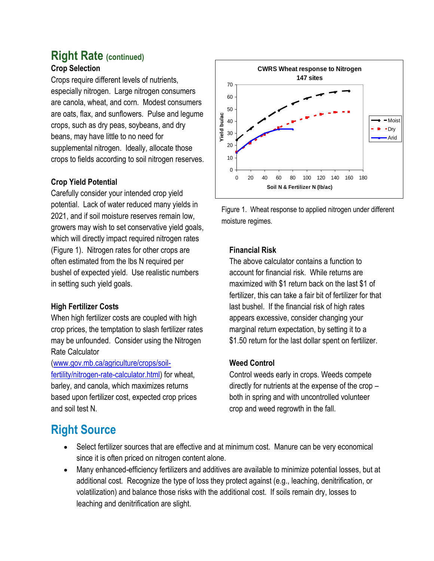#### **Right Rate (continued) Crop Selection**

Crops require different levels of nutrients, especially nitrogen. Large nitrogen consumers are canola, wheat, and corn. Modest consumers are oats, flax, and sunflowers. Pulse and legume crops, such as dry peas, soybeans, and dry beans, may have little to no need for supplemental nitrogen. Ideally, allocate those crops to fields according to soil nitrogen reserves.

#### **Crop Yield Potential**

Carefully consider your intended crop yield potential. Lack of water reduced many yields in 2021, and if soil moisture reserves remain low, growers may wish to set conservative yield goals, which will directly impact required nitrogen rates (Figure 1). Nitrogen rates for other crops are often estimated from the lbs N required per bushel of expected yield. Use realistic numbers in setting such yield goals.

#### **High Fertilizer Costs**

When high fertilizer costs are coupled with high crop prices, the temptation to slash fertilizer rates may be unfounded. Consider using the Nitrogen Rate Calculator

[\(www.gov.mb.ca/agriculture/crops/soil](https://www.gov.mb.ca/agriculture/crops/soil-fertility/nitrogen-rate-calculator.html)[fertility/nitrogen-rate-calculator.html\)](https://www.gov.mb.ca/agriculture/crops/soil-fertility/nitrogen-rate-calculator.html) for wheat, barley, and canola, which maximizes returns based upon fertilizer cost, expected crop prices and soil test N.



Figure 1. Wheat response to applied nitrogen under different moisture regimes.

#### **Financial Risk**

The above calculator contains a function to account for financial risk. While returns are maximized with \$1 return back on the last \$1 of fertilizer, this can take a fair bit of fertilizer for that last bushel. If the financial risk of high rates appears excessive, consider changing your marginal return expectation, by setting it to a \$1.50 return for the last dollar spent on fertilizer.

#### **Weed Control**

Control weeds early in crops. Weeds compete directly for nutrients at the expense of the crop – both in spring and with uncontrolled volunteer crop and weed regrowth in the fall.

### **Right Source**

- Select fertilizer sources that are effective and at minimum cost. Manure can be very economical since it is often priced on nitrogen content alone.
- Many enhanced-efficiency fertilizers and additives are available to minimize potential losses, but at additional cost. Recognize the type of loss they protect against (e.g., leaching, denitrification, or volatilization) and balance those risks with the additional cost. If soils remain dry, losses to leaching and denitrification are slight.